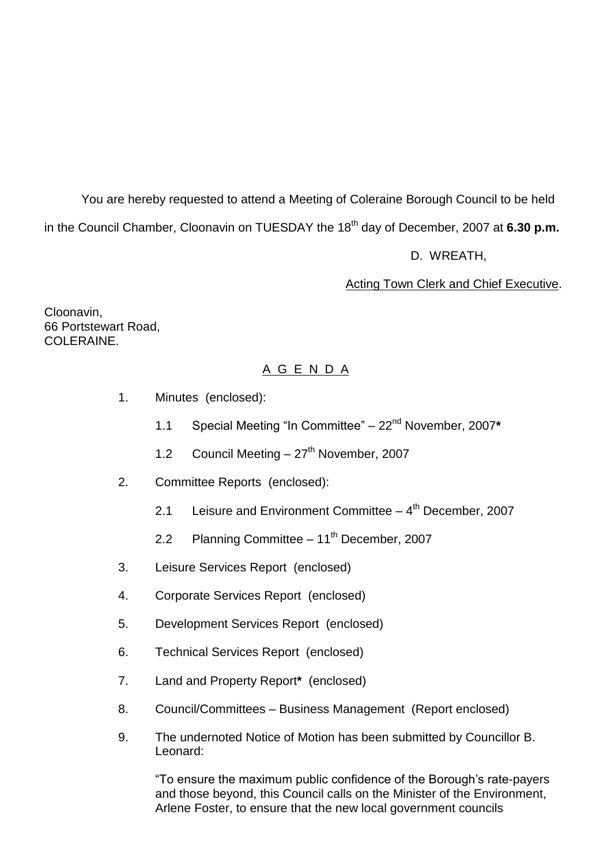You are hereby requested to attend a Meeting of Coleraine Borough Council to be held in the Council Chamber, Cloonavin on TUESDAY the 18<sup>th</sup> day of December, 2007 at 6.30 p.m.

D. WREATH,

## Acting Town Clerk and Chief Executive.

Cloonavin, 66 Portstewart Road, COLERAINE

## A G E N D A

- 1. Minutes (enclosed):
	- 1.1 Special Meeting "In Committee" 22<sup>nd</sup> November, 2007\*
	- 1.2 Council Meeting  $-27<sup>th</sup>$  November, 2007
- 2. Committee Reports (enclosed):
	- 2.1 Leisure and Environment Committee 4<sup>th</sup> December, 2007
	- 2.2 Planning Committee  $-11^{th}$  December, 2007
- 3. Leisure Services Report (enclosed)
- 4. Corporate Services Report (enclosed)
- 5. Development Services Report (enclosed)
- 6. Technical Services Report (enclosed)
- 7. Land and Property Report**\*** (enclosed)
- 8. Council/Committees Business Management (Report enclosed)
- 9. The undernoted Notice of Motion has been submitted by Councillor B. Leonard:

"To ensure the maximum public confidence of the Borough's rate-payers and those beyond, this Council calls on the Minister of the Environment, Arlene Foster, to ensure that the new local government councils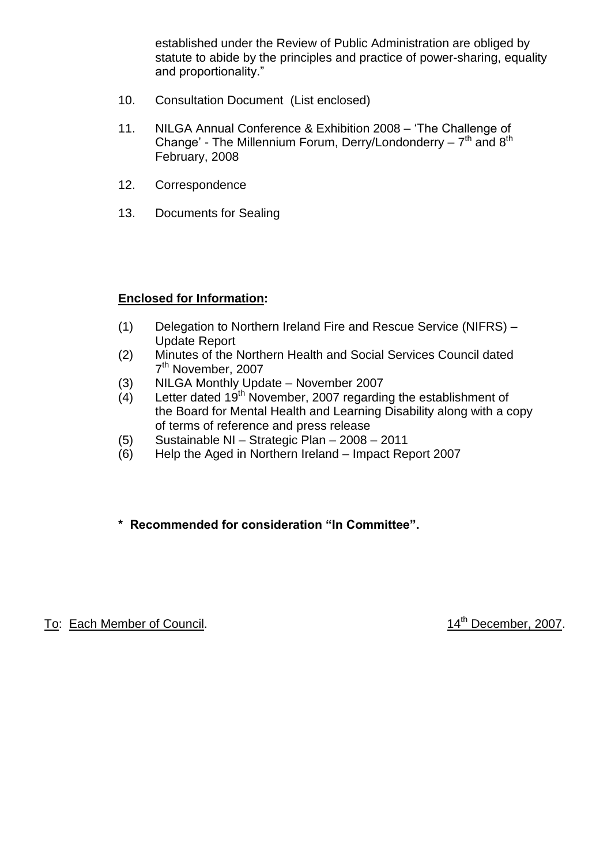established under the Review of Public Administration are obliged by statute to abide by the principles and practice of power-sharing, equality and proportionality."

- 10. Consultation Document (List enclosed)
- 11. NILGA Annual Conference & Exhibition 2008 'The Challenge of Change' - The Millennium Forum, Derry/Londonderry –  $7<sup>th</sup>$  and  $8<sup>th</sup>$ February, 2008
- 12. Correspondence
- 13. Documents for Sealing

## **Enclosed for Information:**

- (1) Delegation to Northern Ireland Fire and Rescue Service (NIFRS) Update Report
- (2) Minutes of the Northern Health and Social Services Council dated 7<sup>th</sup> November, 2007
- (3) NILGA Monthly Update November 2007
- (4) Letter dated  $19<sup>th</sup>$  November, 2007 regarding the establishment of the Board for Mental Health and Learning Disability along with a copy of terms of reference and press release
- (5) Sustainable NI –Strategic Plan –2008 –2011
- (6) Help the Aged in Northern Ireland –Impact Report 2007

## **\*Recommendedforconsideration"InCommittee".**

To: Each Member of Council. 14<sup>th</sup> December, 2007.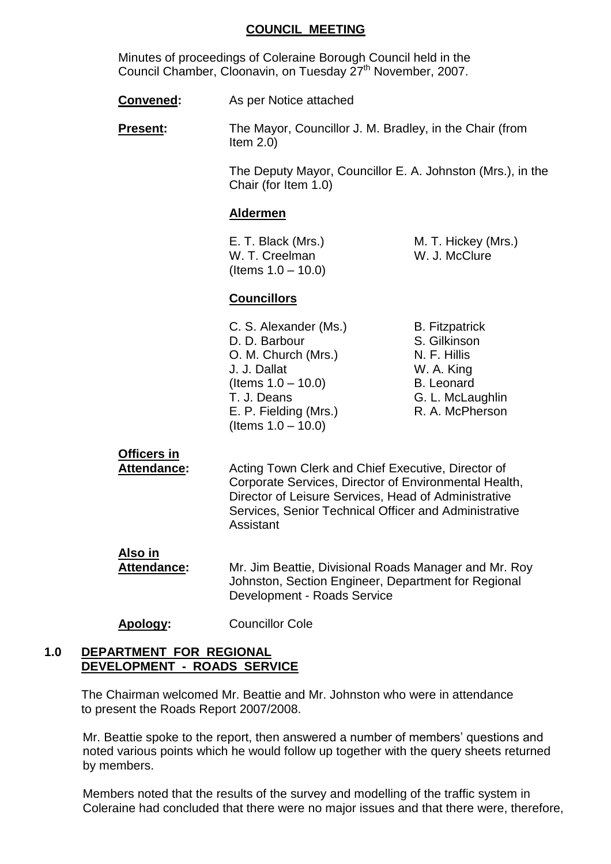#### **COUNCIL MEETING**

Minutes of proceedings of Coleraine Borough Council held in the Council Chamber, Cloonavin, on Tuesday 27<sup>th</sup> November, 2007.

**Convened:** As per Notice attached

**Present:** The Mayor, Councillor J. M. Bradley, in the Chair (from Item  $2.0$ )

> The Deputy Mayor, Councillor E. A. Johnston (Mrs.), in the Chair (for Item 1.0)

#### **Aldermen**

W. T. Creelman W. J. McClure  $($ ltems  $1.0 - 10.0)$ 

E. T. Black (Mrs.) M. T. Hickey (Mrs.)

## **Councillors**

C. S. Alexander (Ms.) B. Fitzpatrick D. D. Barbour S. Gilkinson O. M. Church (Mrs.) N. F. Hillis J. J. Dallat W. A. King  $($ ltems  $1.0 - 10.0)$  B. Leonard T. J. Deans<br>
F P Fielding (Mrs.) G. L. McLaughlin<br>
R A McPherson E. P. Fielding (Mrs.)  $($ ltems  $1.0 - 10.0)$ 

## **Officers in**

Attendance: Acting Town Clerk and Chief Executive, Director of Corporate Services, Director of Environmental Health, Director of Leisure Services, Head of Administrative Services, Senior Technical Officer and Administrative Assistant

- **Also in Attendance:** Mr. Jim Beattie, Divisional Roads Manager and Mr. Roy Johnston, Section Engineer, Department for Regional Development - Roads Service
- **Apology:** Councillor Cole

## **1.0 DEPARTMENT FOR REGIONAL DEVELOPMENT - ROADS SERVICE**

The Chairman welcomed Mr. Beattie and Mr. Johnston who were in attendance to present the Roads Report 2007/2008.

Mr. Beattie spoke to the report, then answered a number of members' questions and noted various points which he would follow up together with the query sheets returned by members.

Members noted that the results of the survey and modelling of the traffic system in Coleraine had concluded that there were no major issues and that there were, therefore,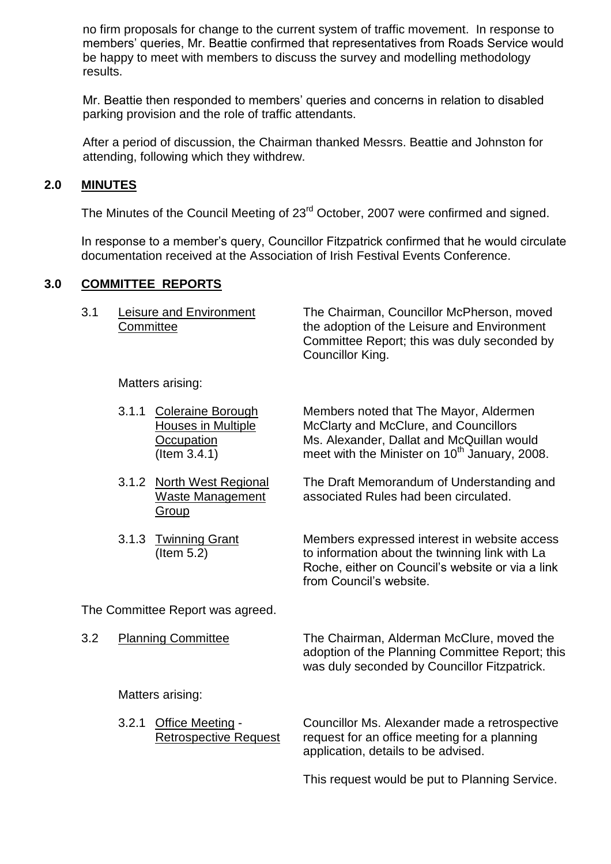no firm proposals for change to the current system of traffic movement. In response to members' queries, Mr. Beattie confirmed that representatives from Roads Service would be happy to meet with members to discuss the survey and modelling methodology results.

Mr. Beattie then responded to members' queries and concerns in relation to disabled parking provision and the role of traffic attendants.

After a period of discussion, the Chairman thanked Messrs. Beattie and Johnston for attending, following which they withdrew.

## **2.0 MINUTES**

The Minutes of the Council Meeting of 23<sup>rd</sup> October, 2007 were confirmed and signed.

In response to a member's query, Councillor Fitzpatrick confirmed that he would circulate documentation received at the Association of Irish Festival Events Conference.

## **3.0 COMMITTEE REPORTS**

| 3.1 | Leisure and Environment | The Chairman, Councillor McPherson, moved   |
|-----|-------------------------|---------------------------------------------|
|     | Committee               | the adoption of the Leisure and Environment |
|     |                         | Committee Report; this was duly seconded by |
|     |                         | Councillor King.                            |

Matters arising:

| 3.1.1 Coleraine Borough | Members noted that The Mayor, Aldermen                    |
|-------------------------|-----------------------------------------------------------|
| Houses in Multiple      | McClarty and McClure, and Councillors                     |
| Occupation              | Ms. Alexander, Dallat and McQuillan would                 |
| $($ ltem 3.4.1)         | meet with the Minister on 10 <sup>th</sup> January, 2008. |

- 3.1.2 North West Regional The Draft Memorandum of Understanding and Waste Management associated Rules had been circulated.
- 3.1.3 Twinning Grant Members expressed interest in website access (Item 5.2) to information about the twinning link with La Roche, either on Council's website or via a link from Council's website.

The Committee Report was agreed.

**Group** 

| 3.2 | <b>Planning Committee</b> | The Chairman, Alderman McClure, moved the       |
|-----|---------------------------|-------------------------------------------------|
|     |                           | adoption of the Planning Committee Report; this |

Matters arising:

| 3.2.1 Office Meeting -       | Councillor Ms.           |
|------------------------------|--------------------------|
| <b>Retrospective Request</b> | request for an           |
|                              | and a Property of the La |

Alexander made a retrospective office meeting for a planning application, details to be advised.

was duly seconded by Councillor Fitzpatrick.

This request would be put to Planning Service.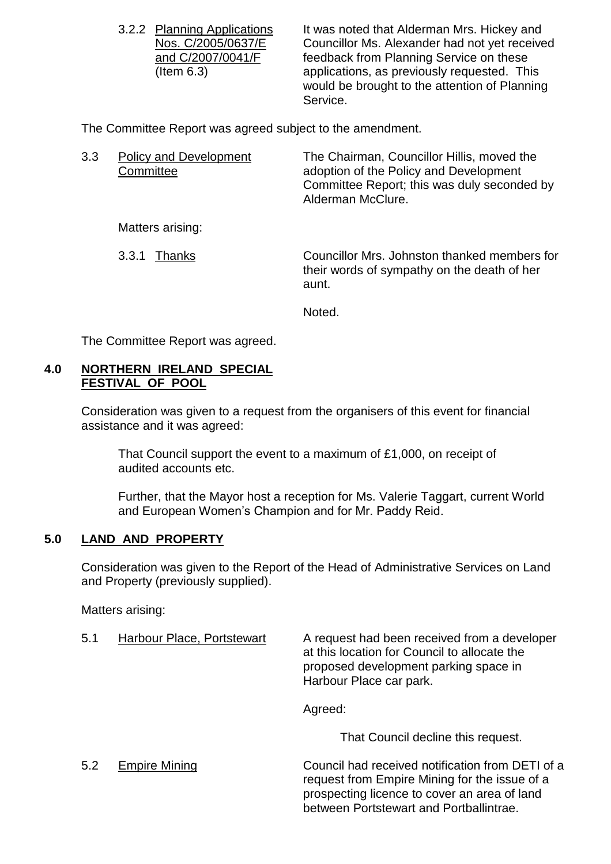3.2.2 Planning Applications It was noted that Alderman Mrs. Hickey and Nos. C/2005/0637/E Councillor Ms. Alexander had not yet received and C/2007/0041/F feedback from Planning Service on these (Item 6.3) applications, as previously requested. This would be brought to the attention of Planning Service.

The Committee Report was agreed subject to the amendment.

| 3.3 | <b>Policy and Development</b><br>Committee | The Chairman, Councillor Hillis, moved the<br>adoption of the Policy and Development<br>Committee Report; this was duly seconded by<br>Alderman McClure. |
|-----|--------------------------------------------|----------------------------------------------------------------------------------------------------------------------------------------------------------|
|     | Matters arising:                           |                                                                                                                                                          |
|     | 3.3.1<br>Thanks                            | Councillor Mrs. Johnston thanked members for<br>their words of sympathy on the death of her<br>aunt.                                                     |
|     |                                            | Noted.                                                                                                                                                   |

The Committee Report was agreed.

## **4.0 NORTHERN IRELAND SPECIAL FESTIVAL OF POOL**

Consideration was given to a request from the organisers of this event for financial assistance and it was agreed:

That Council support the event to a maximum of £1,000, on receipt of audited accounts etc.

Further, that the Mayor host a reception for Ms. Valerie Taggart, current World and European Women's Champion and for Mr. Paddy Reid.

## **5.0 LAND AND PROPERTY**

Consideration was given to the Report of the Head of Administrative Services on Land and Property (previously supplied).

Matters arising:

5.1 Harbour Place, Portstewart A request had been received from a developer at this location for Council to allocate the proposed development parking space in Harbour Place car park.

Agreed:

That Council decline this request.

5.2 Empire Mining Council had received notification from DETI of a request from Empire Mining for the issue of a prospecting licence to cover an area of land between Portstewart and Portballintrae.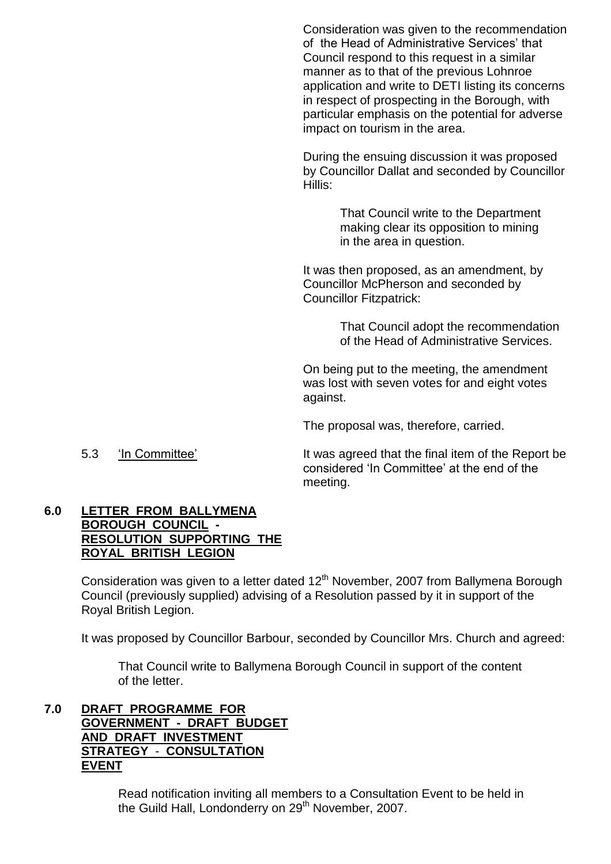Consideration was given to the recommendation of the Head of Administrative Services' that Council respond to this request in a similar manner as to that of the previous Lohnroe application and write to DETI listing its concerns in respect of prospecting in the Borough, with particular emphasis on the potential for adverse impact on tourism in the area.

During the ensuing discussion it was proposed by Councillor Dallat and seconded by Councillor Hillis:

> That Council write to the Department making clear its opposition to mining in the area in question.

It was then proposed, as an amendment, by Councillor McPherson and seconded by Councillor Fitzpatrick:

> That Council adopt the recommendation of the Head of Administrative Services.

On being put to the meeting, the amendment was lost with seven votes for and eight votes against.

The proposal was, therefore, carried.

5.3 'In Committee' It was agreed that the final item of the Report be considered 'In Committee' at the end of the meeting.

## **6.0 LETTER FROM BALLYMENA BOROUGH COUNCIL - RESOLUTION SUPPORTING THE ROYAL BRITISH LEGION**

Consideration was given to a letter dated 12<sup>th</sup> November, 2007 from Ballymena Borough Council (previously supplied) advising of a Resolution passed by it in support of the Royal British Legion.

It was proposed by Councillor Barbour, seconded by Councillor Mrs. Church and agreed:

That Council write to Ballymena Borough Council in support of the content of the letter.

**7.0 DRAFT PROGRAMME FOR GOVERNMENT - DRAFT BUDGET AND DRAFT INVESTMENT STRATEGY** - **CONSULTATION EVENT**

> Read notification inviting all members to a Consultation Event to be held in the Guild Hall, Londonderry on 29<sup>th</sup> November, 2007.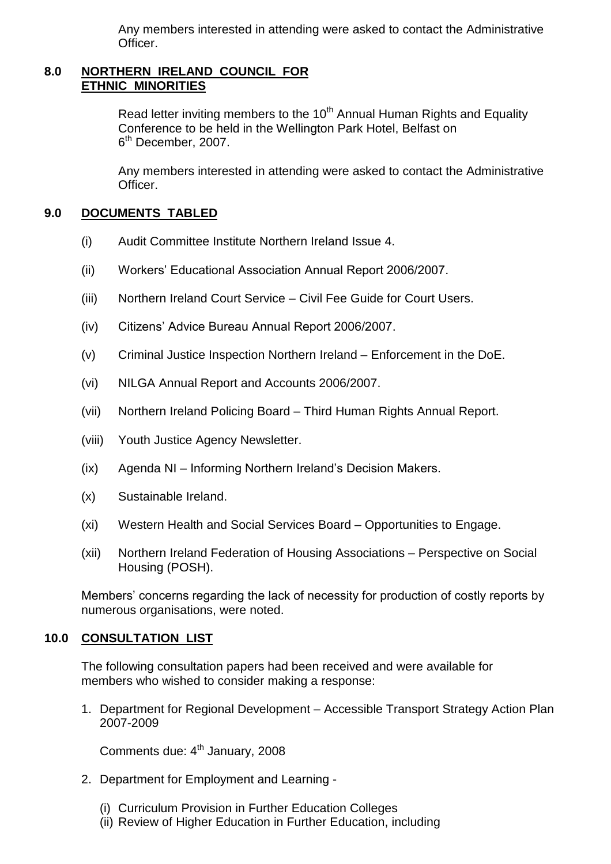Any members interested in attending were asked to contact the Administrative Officer.

## **8.0 NORTHERN IRELAND COUNCIL FOR ETHNIC MINORITIES**

Read letter inviting members to the  $10<sup>th</sup>$  Annual Human Rights and Equality Conference to be held in the Wellington Park Hotel, Belfast on 6<sup>th</sup> December, 2007.

Any members interested in attending were asked to contact the Administrative Officer.

## **9.0 DOCUMENTS TABLED**

- (i) Audit Committee Institute Northern Ireland Issue 4.
- (ii) Workers' Educational Association Annual Report 2006/2007.
- (iii) Northern Ireland Court Service Civil Fee Guide for Court Users.
- (iv) Citizens' Advice Bureau Annual Report 2006/2007.
- (v) Criminal Justice Inspection Northern Ireland –Enforcement in the DoE.
- (vi) NILGA Annual Report and Accounts 2006/2007.
- (vii) Northern Ireland Policing Board –Third Human Rights Annual Report.
- (viii) Youth Justice Agency Newsletter.
- $(ix)$  Agenda NI Informing Northern Ireland's Decision Makers.
- (x) Sustainable Ireland.
- (xi) Western Health and Social Services Board Opportunities to Engage.
- (xii) Northern Ireland Federation of Housing Associations –Perspective on Social Housing (POSH).

Members' concerns regarding the lack of necessity for production of costly reports by numerous organisations, were noted.

## **10.0 CONSULTATION LIST**

The following consultation papers had been received and were available for members who wished to consider making a response:

1. Department for Regional Development – Accessible Transport Strategy Action Plan 2007-2009

Comments due: 4<sup>th</sup> January, 2008

- 2. Department for Employment and Learning
	- (i) Curriculum Provision in Further Education Colleges
	- (ii) Review of Higher Education in Further Education, including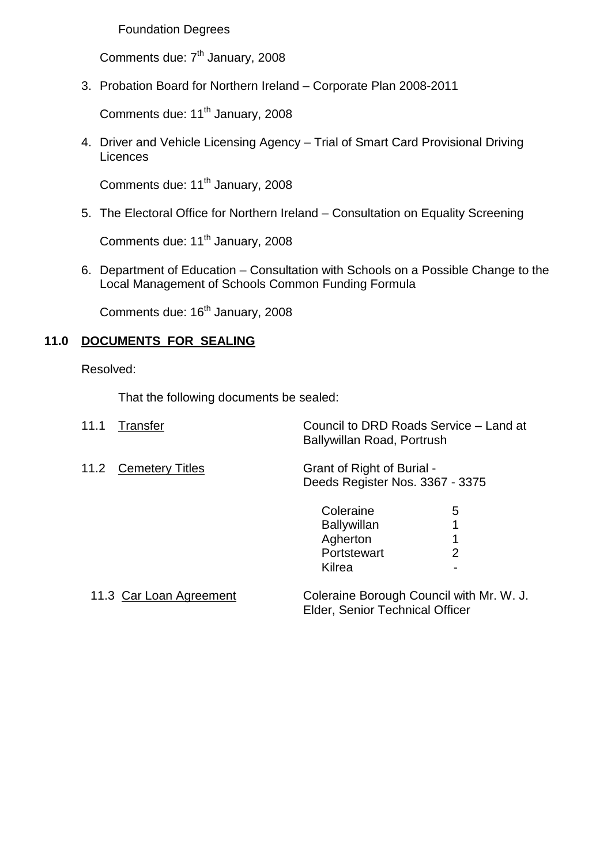## Foundation Degrees

Comments due: 7<sup>th</sup> January, 2008

3. Probation Board for Northern Ireland –Corporate Plan 2008-2011

Comments due: 11<sup>th</sup> January, 2008

4. Driver and Vehicle Licensing Agency - Trial of Smart Card Provisional Driving **Licences** 

Comments due: 11<sup>th</sup> January, 2008

5. The Electoral Office for Northern Ireland –Consultation on Equality Screening

Comments due: 11<sup>th</sup> January, 2008

6. Department of Education –Consultation with Schools on a Possible Change to the Local Management of Schools Common Funding Formula

Comments due: 16<sup>th</sup> January, 2008

## **11.0 DOCUMENTS FOR SEALING**

Resolved:

That the following documents be sealed:

| 11.1<br>Transfer               | Ballywillan Road, Portrush                                           | Council to DRD Roads Service - Land at   |
|--------------------------------|----------------------------------------------------------------------|------------------------------------------|
| 11.2<br><b>Cemetery Titles</b> | Grant of Right of Burial -<br>Deeds Register Nos. 3367 - 3375        |                                          |
|                                | Coleraine<br><b>Ballywillan</b><br>Agherton<br>Portstewart<br>Kilrea | 5<br>1<br>2                              |
| 11.3 Car Loan Agreement        | Elder, Senior Technical Officer                                      | Coleraine Borough Council with Mr. W. J. |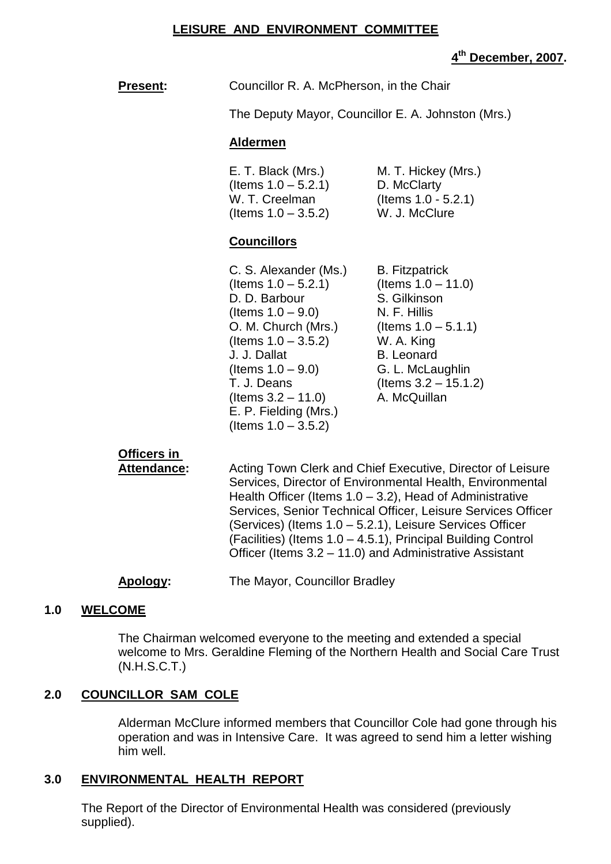#### **LEISURE AND ENVIRONMENT COMMITTEE**

## **4 th December, 2007.**

 $15.1.2$ 

| <b>Present:</b> | Councillor R. A. McPherson, in the Chair           |
|-----------------|----------------------------------------------------|
|                 | The Deputy Mayor, Councillor E. A. Johnston (Mrs.) |

# **Aldermen**

| E. T. Black (Mrs.)     | M. T. Hickey (Mrs.)    |
|------------------------|------------------------|
| (Items $1.0 - 5.2.1$ ) | D. McClarty            |
| W. T. Creelman         | (Items $1.0 - 5.2.1$ ) |
| (Items $1.0 - 3.5.2$ ) | W. J. McClure          |

## **Councillors**

| C. S. Alexander (Ms.)  | <b>B.</b> Fitzpatrick  |
|------------------------|------------------------|
| (Items $1.0 - 5.2.1$ ) | (Items $1.0 - 11.0$ )  |
| D. D. Barbour          | S. Gilkinson           |
| (Items $1.0 - 9.0$ )   | N. F. Hillis           |
| O. M. Church (Mrs.)    | (Items $1.0 - 5.1.1$ ) |
| (Items $1.0 - 3.5.2$ ) | W. A. King             |
| J. J. Dallat           | <b>B.</b> Leonard      |
| (Items $1.0 - 9.0$ )   | G. L. McLaughlin       |
| T. J. Deans            | (Items 3.2 - 15.1.2)   |
| (Items $3.2 - 11.0$ )  | A. McQuillan           |
| E. P. Fielding (Mrs.)  |                        |
| (Items $1.0 - 3.5.2$ ) |                        |
|                        |                        |

# **Officers in**

Attendance: Acting Town Clerk and Chief Executive, Director of Leisure Services, Director of Environmental Health, Environmental Health Officer (Items  $1.0 - 3.2$ ), Head of Administrative Services, Senior Technical Officer, Leisure Services Officer (Services) (Items 1.0 –5.2.1), Leisure Services Officer  $(Facilities)$  (Items  $1.0 - 4.5.1$ ), Principal Building Control Officer (Items 3.2 –11.0) and Administrative Assistant

## **Apology:** The Mayor, Councillor Bradley

## **1.0 WELCOME**

The Chairman welcomed everyone to the meeting and extended a special welcome to Mrs. Geraldine Fleming of the Northern Health and Social Care Trust (N.H.S.C.T.)

## **2.0 COUNCILLOR SAM COLE**

Alderman McClure informed members that Councillor Cole had gone through his operation and was in Intensive Care. It was agreed to send him a letter wishing him well.

## **3.0 ENVIRONMENTAL HEALTH REPORT**

The Report of the Director of Environmental Health was considered (previously supplied).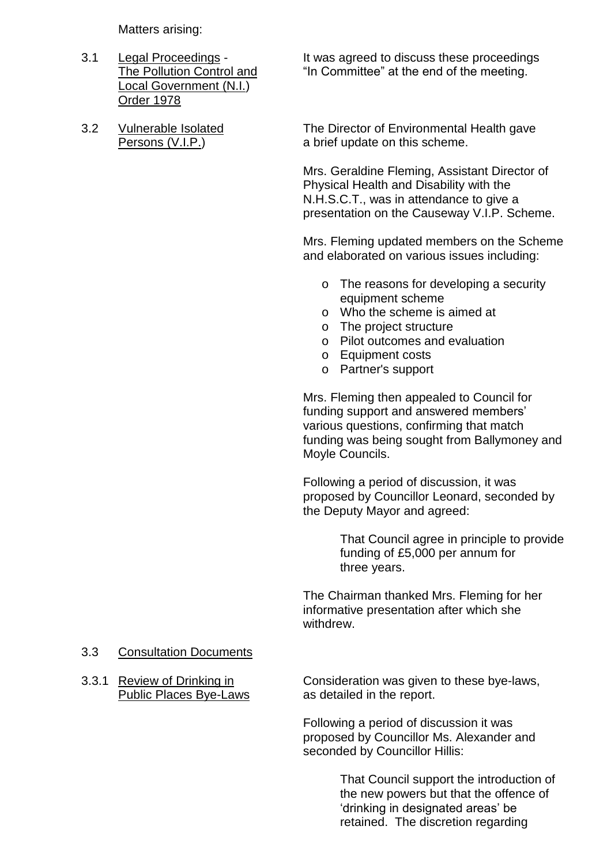Matters arising:

- Local Government (N.I.) Order 1978
- 

3.1 Legal Proceedings - It was agreed to discuss these proceedings The Pollution Control and "In Committee" at the end of the meeting.

3.2 Vulnerable Isolated The Director of Environmental Health gave Persons (V.I.P.) a brief update on this scheme.

> Mrs. Geraldine Fleming, Assistant Director of Physical Health and Disability with the N.H.S.C.T., was in attendance to give a presentation on the Causeway V.I.P. Scheme.

Mrs. Fleming updated members on the Scheme and elaborated on various issues including:

- o The reasons for developing a security equipment scheme
- o Who the scheme is aimed at
- o The project structure
- o Pilot outcomes and evaluation
- o Equipment costs
- o Partner's support

Mrs. Fleming then appealed to Council for funding support and answered members' various questions, confirming that match funding was being sought from Ballymoney and Moyle Councils.

Following a period of discussion, it was proposed by Councillor Leonard, seconded by the Deputy Mayor and agreed:

> That Council agree in principle to provide funding of £5,000 per annum for three years.

The Chairman thanked Mrs. Fleming for her informative presentation after which she withdrew.

#### 3.3 Consultation Documents

3.3.1 Review of Drinking in Consideration was given to these bye-laws, Public Places Bye-Laws as detailed in the report.

> Following a period of discussion it was proposed by Councillor Ms. Alexander and seconded by Councillor Hillis:

> > That Council support the introduction of the new powers but that the offence of 'drinking in designated areas' be retained. The discretion regarding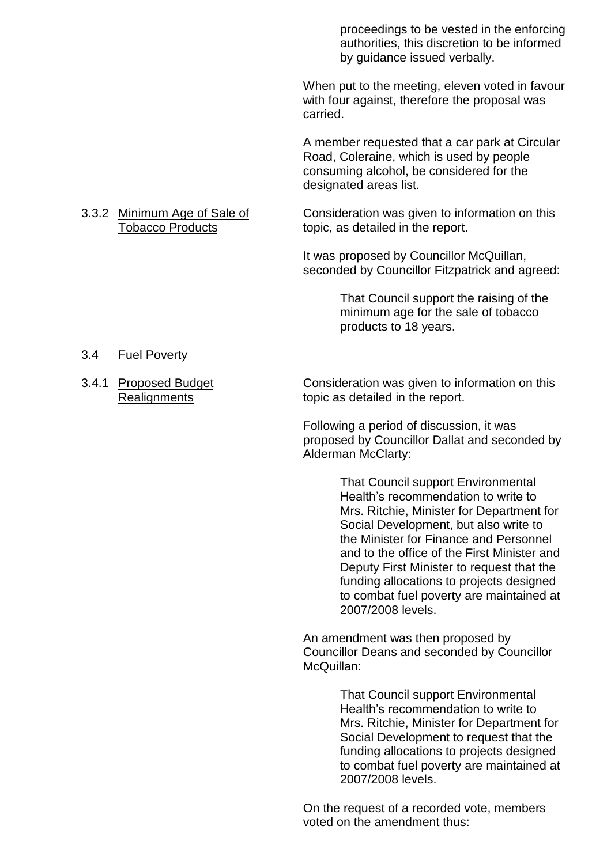proceedings to be vested in the enforcing authorities, this discretion to be informed by guidance issued verbally.

When put to the meeting, eleven voted in favour with four against, therefore the proposal was carried.

A member requested that a car park at Circular Road, Coleraine, which is used by people consuming alcohol, be considered for the designated areas list.

3.3.2 Minimum Age of Sale of Consideration was given to information on this Tobacco Products topic, as detailed in the report.

> It was proposed by Councillor McQuillan, seconded by Councillor Fitzpatrick and agreed:

> > That Council support the raising of the minimum age for the sale of tobacco products to 18 years.

#### 3.4 Fuel Poverty

3.4.1 Proposed Budget Consideration was given to information on this Realignments **topic** as detailed in the report.

> Following a period of discussion, it was proposed by Councillor Dallat and seconded by Alderman McClarty:

> > That Council support Environmental Health's recommendation to write to Mrs. Ritchie, Minister for Department for Social Development, but also write to the Minister for Finance and Personnel and to the office of the First Minister and Deputy First Minister to request that the funding allocations to projects designed to combat fuel poverty are maintained at 2007/2008 levels.

An amendment was then proposed by Councillor Deans and seconded by Councillor McQuillan:

> That Council support Environmental Health's recommendation to write to Mrs. Ritchie, Minister for Department for Social Development to request that the funding allocations to projects designed to combat fuel poverty are maintained at 2007/2008 levels.

On the request of a recorded vote, members voted on the amendment thus: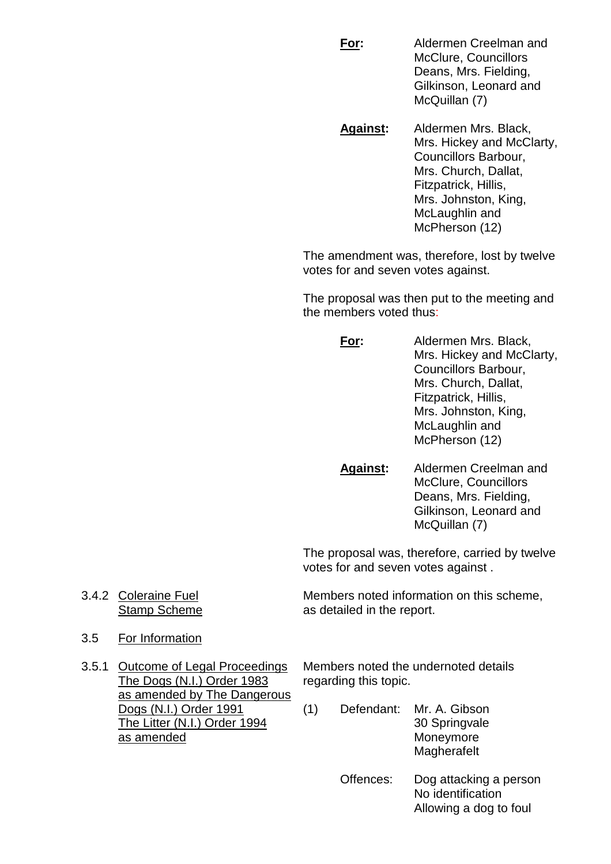**For:** Aldermen Creelman and McClure, Councillors Deans, Mrs. Fielding, Gilkinson, Leonard and McQuillan (7)

**Against:** Aldermen Mrs. Black, Mrs. Hickey and McClarty, Councillors Barbour, Mrs. Church, Dallat, Fitzpatrick, Hillis, Mrs. Johnston, King, McLaughlin and McPherson (12)

The amendment was, therefore, lost by twelve votes for and seven votes against.

The proposal was then put to the meeting and the members voted thus:

- **For:** Aldermen Mrs. Black, Mrs. Hickey and McClarty, Councillors Barbour, Mrs. Church, Dallat, Fitzpatrick, Hillis, Mrs. Johnston, King, McLaughlin and McPherson (12)
- **Against:** Aldermen Creelman and McClure, Councillors Deans, Mrs. Fielding, Gilkinson, Leonard and McQuillan (7)

The proposal was, therefore, carried by twelve votes for and seven votes against .

3.4.2 Coleraine Fuel Members noted information on this scheme, Stamp Scheme as detailed in the report.

3.5 For Information

The Dogs (N.I.) Order 1983 regarding this topic. as amended by The Dangerous as amended Moneymore

3.5.1 Outcome of Legal Proceedings Members noted the undernoted details

- Dogs (N.I.) Order 1991 (1) Defendant: Mr. A. Gibson The Litter (N.I.) Order 1994 30 Springvale Magherafelt
	- Offences: Dog attacking a person No identification Allowing a dog to foul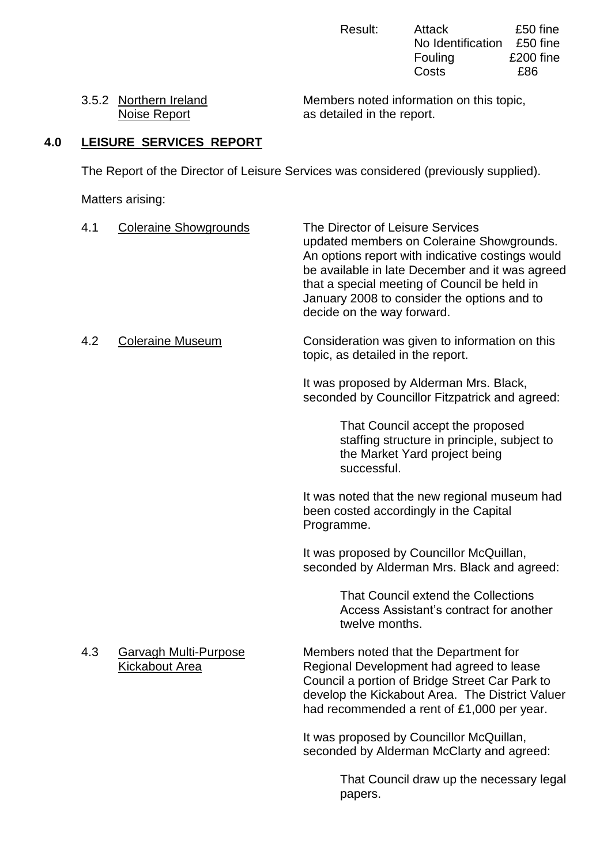Result: Attack £50 fine No Identification £50 fine<br>Fouling £200 fine  $£200$  fine Costs £86

3.5.2 Northern Ireland Members noted information on this topic,<br>Noise Report as detailed in the report. as detailed in the report.

## **4.0 LEISURE SERVICES REPORT**

The Report of the Director of Leisure Services was considered (previously supplied).

Matters arising:

| 4.1 | <b>Coleraine Showgrounds</b>                   | The Director of Leisure Services<br>updated members on Coleraine Showgrounds.<br>An options report with indicative costings would<br>be available in late December and it was agreed<br>that a special meeting of Council be held in<br>January 2008 to consider the options and to<br>decide on the way forward. |
|-----|------------------------------------------------|-------------------------------------------------------------------------------------------------------------------------------------------------------------------------------------------------------------------------------------------------------------------------------------------------------------------|
| 4.2 | <b>Coleraine Museum</b>                        | Consideration was given to information on this<br>topic, as detailed in the report.                                                                                                                                                                                                                               |
|     |                                                | It was proposed by Alderman Mrs. Black,<br>seconded by Councillor Fitzpatrick and agreed:                                                                                                                                                                                                                         |
|     |                                                | That Council accept the proposed<br>staffing structure in principle, subject to<br>the Market Yard project being<br>successful.                                                                                                                                                                                   |
|     |                                                | It was noted that the new regional museum had<br>been costed accordingly in the Capital<br>Programme.                                                                                                                                                                                                             |
|     |                                                | It was proposed by Councillor McQuillan,<br>seconded by Alderman Mrs. Black and agreed:                                                                                                                                                                                                                           |
|     |                                                | That Council extend the Collections<br>Access Assistant's contract for another<br>twelve months.                                                                                                                                                                                                                  |
| 4.3 | Garvagh Multi-Purpose<br><b>Kickabout Area</b> | Members noted that the Department for<br>Regional Development had agreed to lease<br>Council a portion of Bridge Street Car Park to<br>develop the Kickabout Area. The District Valuer<br>had recommended a rent of £1,000 per year.                                                                              |
|     |                                                | It was proposed by Councillor McQuillan,<br>seconded by Alderman McClarty and agreed:                                                                                                                                                                                                                             |
|     |                                                | That Council draw up the necessary legal<br>papers.                                                                                                                                                                                                                                                               |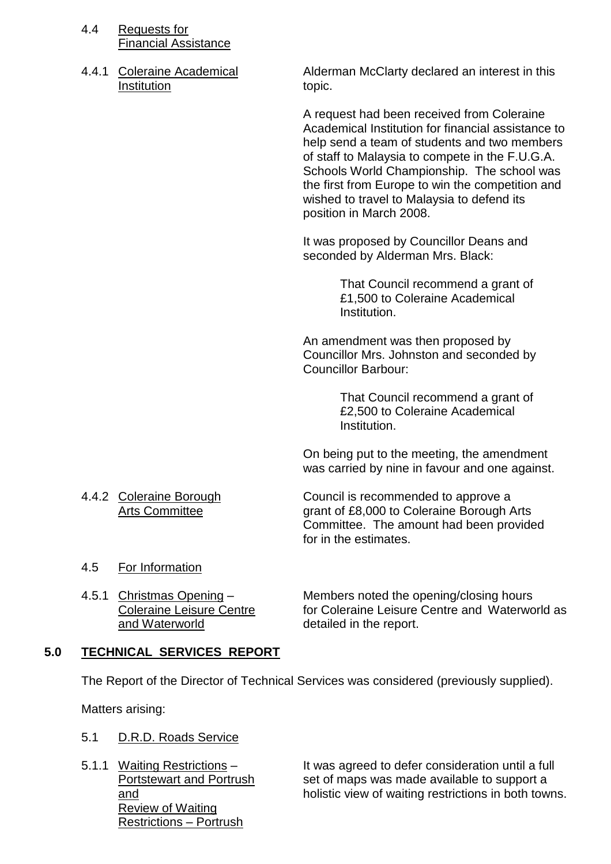- 4.4 Requests for Financial Assistance
- Institution topic.

4.4.1 Coleraine Academical Alderman McClarty declared an interest in this

A request had been received from Coleraine Academical Institution for financial assistance to help send a team of students and two members of staff to Malaysia to compete in the F.U.G.A. Schools World Championship. The school was the first from Europe to win the competition and wished to travel to Malaysia to defend its position in March 2008.

It was proposed by Councillor Deans and seconded by Alderman Mrs. Black:

> That Council recommend a grant of £1,500 to Coleraine Academical Institution.

An amendment was then proposed by Councillor Mrs. Johnston and seconded by Councillor Barbour:

> That Council recommend a grant of £2,500 to Coleraine Academical Institution.

On being put to the meeting, the amendment was carried by nine in favour and one against.

4.4.2 Coleraine Borough Council is recommended to approve a Arts Committee **grant of £8,000 to Coleraine Borough Arts** Committee. The amount had been provided for in the estimates.

- 4.5 For Information
- and Waterworld **detailed** in the report.

4.5.1 Christmas Opening – Members noted the opening/closing hours Coleraine Leisure Centre **for Coleraine Leisure Centre and Waterworld as** 

## **5.0 TECHNICAL SERVICES REPORT**

The Report of the Director of Technical Services was considered (previously supplied).

Matters arising:

- 5.1 D.R.D. Roads Service
- Review of Waiting Restrictions – Portrush

5.1.1 Waiting Restrictions – It was agreed to defer consideration until a full Portstewart and Portrush set of maps was made available to support a and holistic view of waiting restrictions in both towns.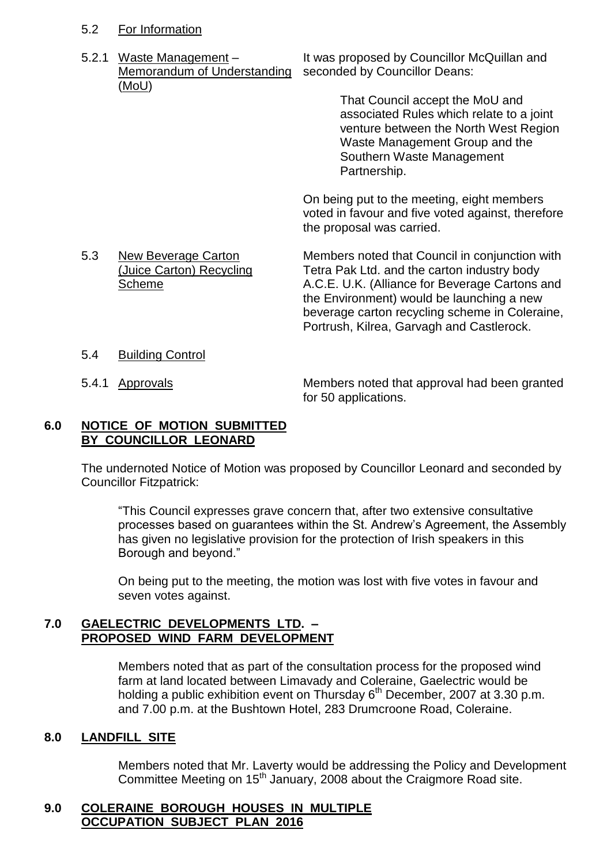## 5.2 For Information

Memorandum of Understanding seconded by Councillor Deans: (MoU)

5.2.1 Waste Management – It was proposed by Councillor McQuillan and

That Council accept the MoU and associated Rules which relate to a joint venture between the North West Region Waste Management Group and the Southern Waste Management Partnership.

On being put to the meeting, eight members voted in favour and five voted against, therefore the proposal was carried.

5.3 New Beverage Carton Members noted that Council in conjunction with<br>(Juice Carton) Recycling Tetra Pak Ltd. and the carton industry body Tetra Pak Ltd. and the carton industry body Scheme **A.C.E. U.K. (Alliance for Beverage Cartons and** the Environment) would be launching a new beverage carton recycling scheme in Coleraine, Portrush, Kilrea, Garvagh and Castlerock.

- 5.4 Building Control
- 

5.4.1 Approvals Members noted that approval had been granted for 50 applications.

#### **6.0 NOTICE OF MOTION SUBMITTED BY COUNCILLOR LEONARD**

The undernoted Notice of Motion was proposed by Councillor Leonard and seconded by Councillor Fitzpatrick:

"This Council expresses grave concern that, after two extensive consultative processes based on guarantees within the St. Andrew's Agreement, the Assembly has given no legislative provision for the protection of Irish speakers in this Borough and beyond."

On being put to the meeting, the motion was lost with five votes in favour and seven votes against.

## **7.0 GAELECTRIC DEVELOPMENTS LTD. – PROPOSED WIND FARM DEVELOPMENT**

Members noted that as part of the consultation process for the proposed wind farm at land located between Limavady and Coleraine, Gaelectric would be holding a public exhibition event on Thursday 6<sup>th</sup> December, 2007 at 3.30 p.m. and 7.00 p.m. at the Bushtown Hotel, 283 Drumcroone Road, Coleraine.

## **8.0 LANDFILL SITE**

Members noted that Mr. Laverty would be addressing the Policy and Development Committee Meeting on 15<sup>th</sup> January, 2008 about the Craigmore Road site.

## **9.0 COLERAINE BOROUGH HOUSES IN MULTIPLE OCCUPATION SUBJECT PLAN 2016**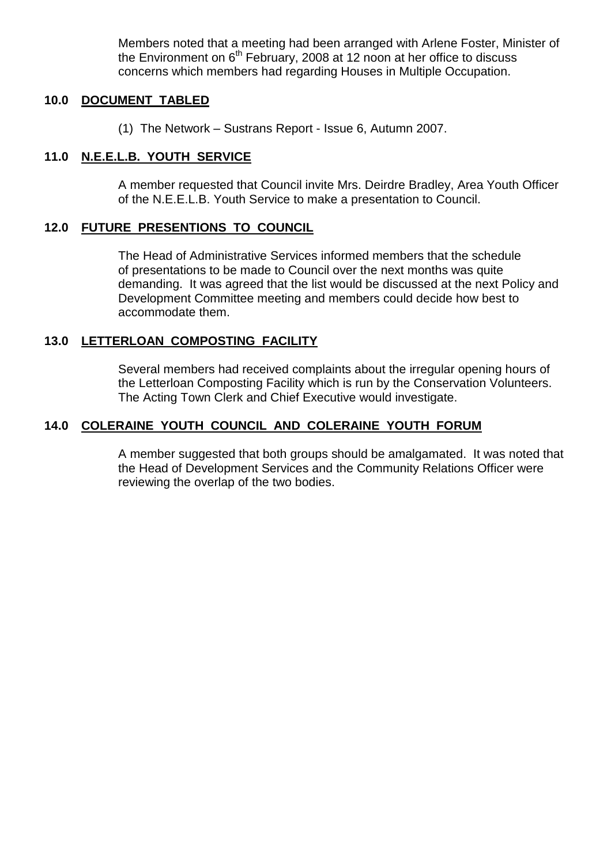Members noted that a meeting had been arranged with Arlene Foster, Minister of the Environment on  $6<sup>th</sup>$  February, 2008 at 12 noon at her office to discuss concerns which members had regarding Houses in Multiple Occupation.

## **10.0 DOCUMENT TABLED**

(1) The Network  $-$  Sustrans Report - Issue 6, Autumn 2007.

## **11.0 N.E.E.L.B. YOUTH SERVICE**

A member requested that Council invite Mrs. Deirdre Bradley, Area Youth Officer of the N.E.E.L.B. Youth Service to make a presentation to Council.

## **12.0 FUTURE PRESENTIONS TO COUNCIL**

The Head of Administrative Services informed members that the schedule of presentations to be made to Council over the next months was quite demanding. It was agreed that the list would be discussed at the next Policy and Development Committee meeting and members could decide how best to accommodate them.

## **13.0 LETTERLOAN COMPOSTING FACILITY**

Several members had received complaints about the irregular opening hours of the Letterloan Composting Facility which is run by the Conservation Volunteers. The Acting Town Clerk and Chief Executive would investigate.

## **14.0 COLERAINE YOUTH COUNCIL AND COLERAINE YOUTH FORUM**

A member suggested that both groups should be amalgamated. It was noted that the Head of Development Services and the Community Relations Officer were reviewing the overlap of the two bodies.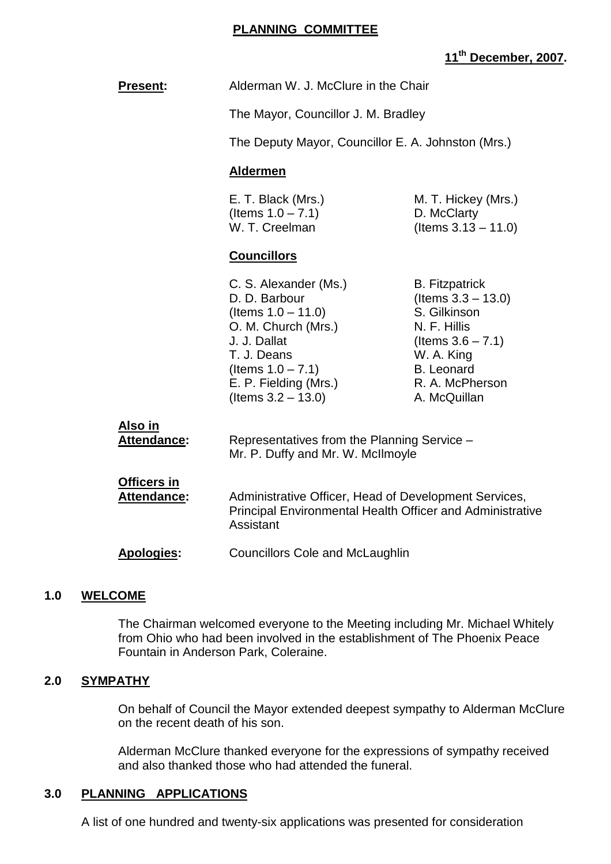#### **PLANNING COMMITTEE**

## **11th December, 2007.**

|     | <b>Present:</b>                   | Alderman W. J. McClure in the Chair                                                                                                                                                             |                                                                                                                                                                       |
|-----|-----------------------------------|-------------------------------------------------------------------------------------------------------------------------------------------------------------------------------------------------|-----------------------------------------------------------------------------------------------------------------------------------------------------------------------|
|     |                                   | The Mayor, Councillor J. M. Bradley                                                                                                                                                             |                                                                                                                                                                       |
|     |                                   | The Deputy Mayor, Councillor E. A. Johnston (Mrs.)                                                                                                                                              |                                                                                                                                                                       |
|     |                                   | <b>Aldermen</b>                                                                                                                                                                                 |                                                                                                                                                                       |
|     |                                   | E. T. Black (Mrs.)<br>(Items $1.0 - 7.1$ )<br>W. T. Creelman                                                                                                                                    | M. T. Hickey (Mrs.)<br>D. McClarty<br>(Items $3.13 - 11.0$ )                                                                                                          |
|     |                                   | <b>Councillors</b>                                                                                                                                                                              |                                                                                                                                                                       |
|     |                                   | C. S. Alexander (Ms.)<br>D. D. Barbour<br>(Items $1.0 - 11.0$ )<br>O. M. Church (Mrs.)<br>J. J. Dallat<br>T. J. Deans<br>(Items $1.0 - 7.1$ )<br>E. P. Fielding (Mrs.)<br>(Items $3.2 - 13.0$ ) | <b>B.</b> Fitzpatrick<br>(Items $3.3 - 13.0$ )<br>S. Gilkinson<br>N. F. Hillis<br>(Items $3.6 - 7.1$ )<br>W. A. King<br>B. Leonard<br>R. A. McPherson<br>A. McQuillan |
|     | <u>Also in</u><br>Attendance:     | Representatives from the Planning Service -<br>Mr. P. Duffy and Mr. W. McIlmoyle                                                                                                                |                                                                                                                                                                       |
|     | <b>Officers in</b><br>Attendance: | Administrative Officer, Head of Development Services,<br>Assistant                                                                                                                              | <b>Principal Environmental Health Officer and Administrative</b>                                                                                                      |
|     | <b>Apologies:</b>                 | <b>Councillors Cole and McLaughlin</b>                                                                                                                                                          |                                                                                                                                                                       |
| 1.0 | <b>WELCOME</b>                    |                                                                                                                                                                                                 |                                                                                                                                                                       |

The Chairman welcomed everyone to the Meeting including Mr. Michael Whitely from Ohio who had been involved in the establishment of The Phoenix Peace Fountain in Anderson Park, Coleraine.

## **2.0 SYMPATHY**

On behalf of Council the Mayor extended deepest sympathy to Alderman McClure on the recent death of his son.

Alderman McClure thanked everyone for the expressions of sympathy received and also thanked those who had attended the funeral.

## **3.0 PLANNING APPLICATIONS**

A list of one hundred and twenty-six applications was presented for consideration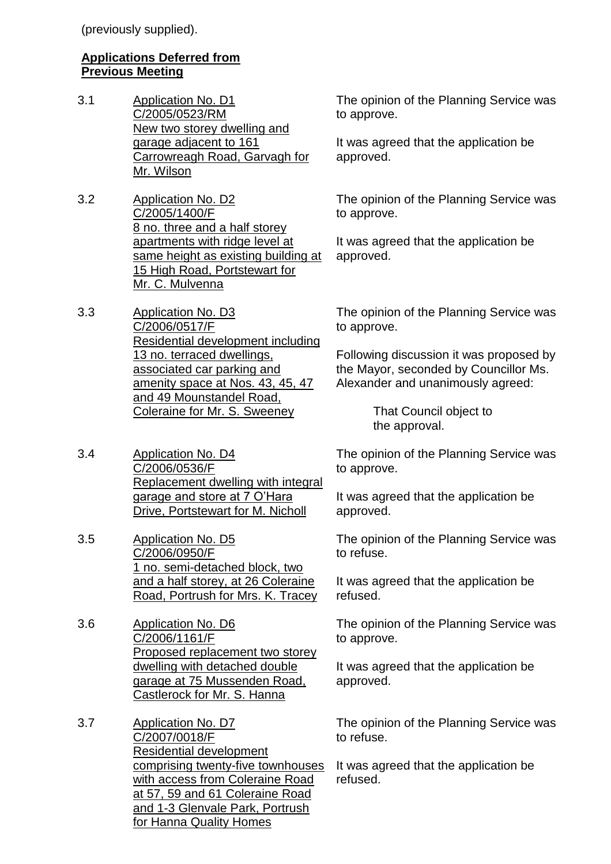(previously supplied).

## **Applications Deferred from Previous Meeting**

- 3.1 Application No. D1 C/2005/0523/RM New two storey dwelling and garage adjacent to 161 Carrowreagh Road, Garvagh for Mr. Wilson
- 3.2 Application No. D2 C/2005/1400/F 8 no. three and a half storey apartments with ridge level at same height as existing building at 15 High Road, Portstewart for Mr. C. Mulvenna
- 3.3 Application No. D3 C/2006/0517/F Residential development including 13 no. terraced dwellings, associated car parking and amenity space at Nos. 43, 45, 47 and 49 Mounstandel Road, Coleraine for Mr. S. Sweeney
- 3.4 Application No. D4 C/2006/0536/F Replacement dwelling with integral garage and store at 7 O'Hara Drive, Portstewart for M. Nicholl
- 3.5 Application No. D5 C/2006/0950/F 1 no. semi-detached block, two and a half storey, at 26 Coleraine Road, Portrush for Mrs. K. Tracey
- 3.6 Application No. D6 C/2006/1161/F Proposed replacement two storey dwelling with detached double garage at 75 Mussenden Road, Castlerock for Mr. S. Hanna
- 3.7 Application No. D7 C/2007/0018/F Residential development comprising twenty-five townhouses with access from Coleraine Road at 57, 59 and 61 Coleraine Road and 1-3 Glenvale Park, Portrush for Hanna Quality Homes

The opinion of the Planning Service was to approve.

It was agreed that the application be approved.

The opinion of the Planning Service was to approve.

It was agreed that the application be approved.

The opinion of the Planning Service was to approve.

Following discussion it was proposed by the Mayor, seconded by Councillor Ms. Alexander and unanimously agreed:

> That Council object to the approval.

The opinion of the Planning Service was to approve.

It was agreed that the application be approved.

The opinion of the Planning Service was to refuse.

It was agreed that the application be refused.

The opinion of the Planning Service was to approve.

It was agreed that the application be approved.

The opinion of the Planning Service was to refuse.

It was agreed that the application be refused.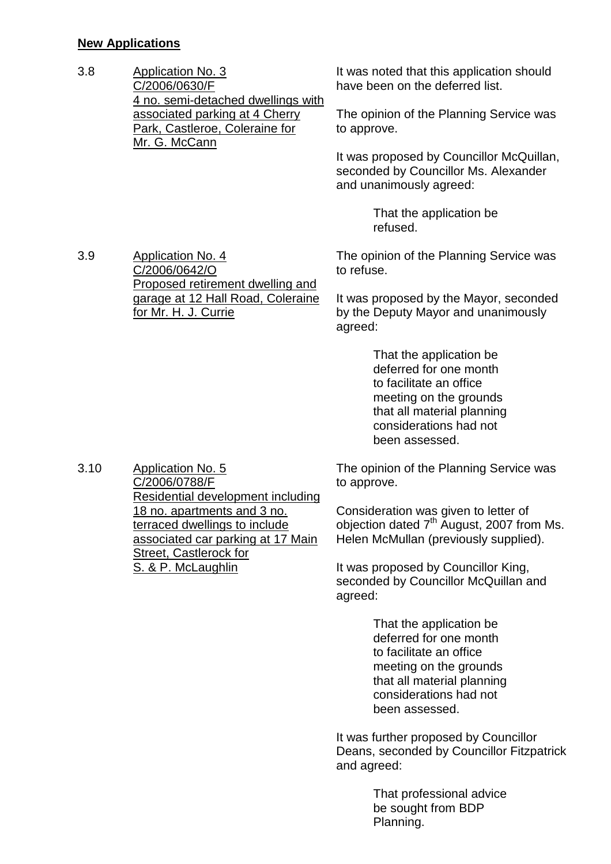## **New Applications**

| 3.8 | <b>Application No. 3</b>           |
|-----|------------------------------------|
|     | C/2006/0630/F                      |
|     | 4 no. semi-detached dwellings with |
|     | associated parking at 4 Cherry     |
|     | Park, Castleroe, Coleraine for     |
|     | Mr. G. McCann                      |
|     |                                    |

It was noted that this application should have been on the deferred list.

The opinion of the Planning Service was to approve.

It was proposed by Councillor McQuillan, seconded by Councillor Ms. Alexander and unanimously agreed:

> That the application be refused.

3.9 Application No. 4 C/2006/0642/O Proposed retirement dwelling and garage at 12 Hall Road, Coleraine for Mr. H. J. Currie

The opinion of the Planning Service was to refuse.

It was proposed by the Mayor, seconded by the Deputy Mayor and unanimously agreed:

> That the application be deferred for one month to facilitate an office meeting on the grounds that all material planning considerations had not been assessed.

The opinion of the Planning Service was to approve.

Consideration was given to letter of objection dated 7th August, 2007 from Ms. Helen McMullan (previously supplied).

It was proposed by Councillor King, seconded by Councillor McQuillan and agreed:

> That the application be deferred for one month to facilitate an office meeting on the grounds that all material planning considerations had not been assessed.

It was further proposed by Councillor Deans, seconded by Councillor Fitzpatrick and agreed:

> That professional advice be sought from BDP Planning.

3.10 Application No. 5 C/2006/0788/F Residential development including 18 no. apartments and 3 no. terraced dwellings to include associated car parking at 17 Main Street, Castlerock for S. & P. McLaughlin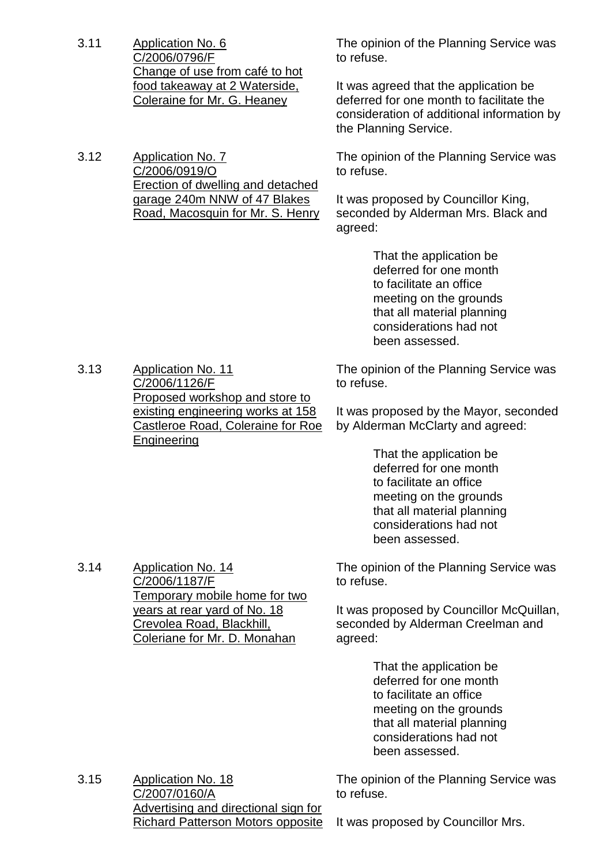3.11 Application No. 6 C/2006/0796/F Change of use from café to hot food takeaway at 2 Waterside, Coleraine for Mr. G. Heaney The opinion of the Planning Service was to refuse. It was agreed that the application be deferred for one month to facilitate the consideration of additional information by the Planning Service. 3.12 Application No. 7 C/2006/0919/O Erection of dwelling and detached garage 240m NNW of 47 Blakes Road, Macosquin for Mr. S. Henry The opinion of the Planning Service was to refuse. It was proposed by Councillor King, seconded by Alderman Mrs. Black and agreed: That the application be deferred for one month to facilitate an office meeting on the grounds that all material planning considerations had not been assessed. 3.13 Application No. 11 C/2006/1126/F Proposed workshop and store to existing engineering works at 158 Castleroe Road, Coleraine for Roe Engineering The opinion of the Planning Service was to refuse. It was proposed by the Mayor, seconded by Alderman McClarty and agreed: That the application be deferred for one month to facilitate an office meeting on the grounds that all material planning considerations had not been assessed. 3.14 Application No. 14 C/2006/1187/F Temporary mobile home for two years at rear yard of No. 18 Crevolea Road, Blackhill, Coleriane for Mr. D. Monahan The opinion of the Planning Service was to refuse. It was proposed by Councillor McQuillan, seconded by Alderman Creelman and agreed: That the application be deferred for one month to facilitate an office meeting on the grounds that all material planning considerations had not been assessed.

3.15 Application No. 18 C/2007/0160/A Advertising and directional sign for Richard Patterson Motors opposite

to refuse.

The opinion of the Planning Service was

It was proposed by Councillor Mrs.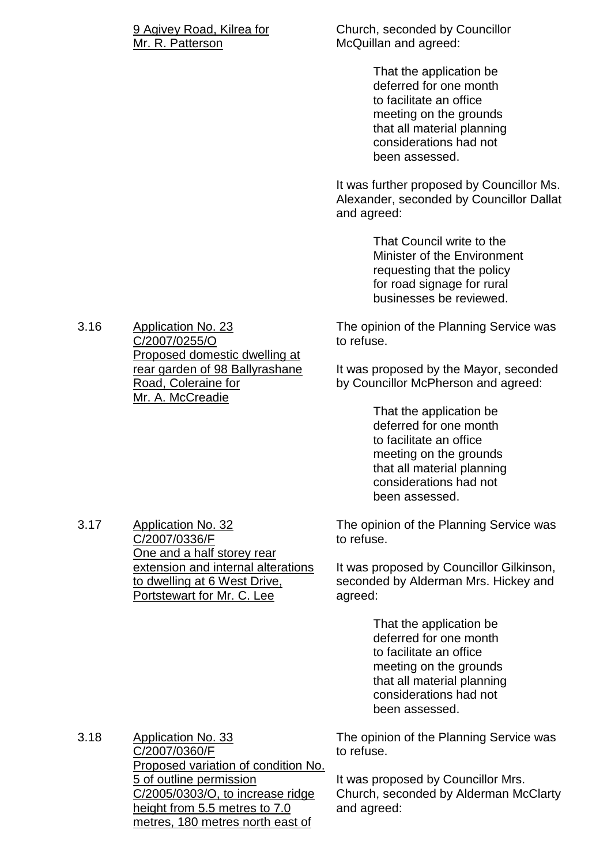#### 9 Agivey Road, Kilrea for Mr. R. Patterson

Church, seconded by Councillor McQuillan and agreed:

> That the application be deferred for one month to facilitate an office meeting on the grounds that all material planning considerations had not been assessed.

It was further proposed by Councillor Ms. Alexander, seconded by Councillor Dallat and agreed:

> That Council write to the Minister of the Environment requesting that the policy for road signage for rural businesses be reviewed.

The opinion of the Planning Service was to refuse.

It was proposed by the Mayor, seconded by Councillor McPherson and agreed:

> That the application be deferred for one month to facilitate an office meeting on the grounds that all material planning considerations had not been assessed.

The opinion of the Planning Service was to refuse.

It was proposed by Councillor Gilkinson, seconded by Alderman Mrs. Hickey and agreed:

> That the application be deferred for one month to facilitate an office meeting on the grounds that all material planning considerations had not been assessed.

The opinion of the Planning Service was to refuse.

It was proposed by Councillor Mrs. Church, seconded by Alderman McClarty and agreed:

3.16 Application No. 23 C/2007/0255/O Proposed domestic dwelling at rear garden of 98 Ballyrashane Road, Coleraine for Mr. A. McCreadie

3.17 Application No. 32 C/2007/0336/F One and a half storey rear extension and internal alterations to dwelling at 6 West Drive, Portstewart for Mr. C. Lee

3.18 Application No. 33 C/2007/0360/F Proposed variation of condition No. 5 of outline permission C/2005/0303/O, to increase ridge height from 5.5 metres to 7.0 metres, 180 metres north east of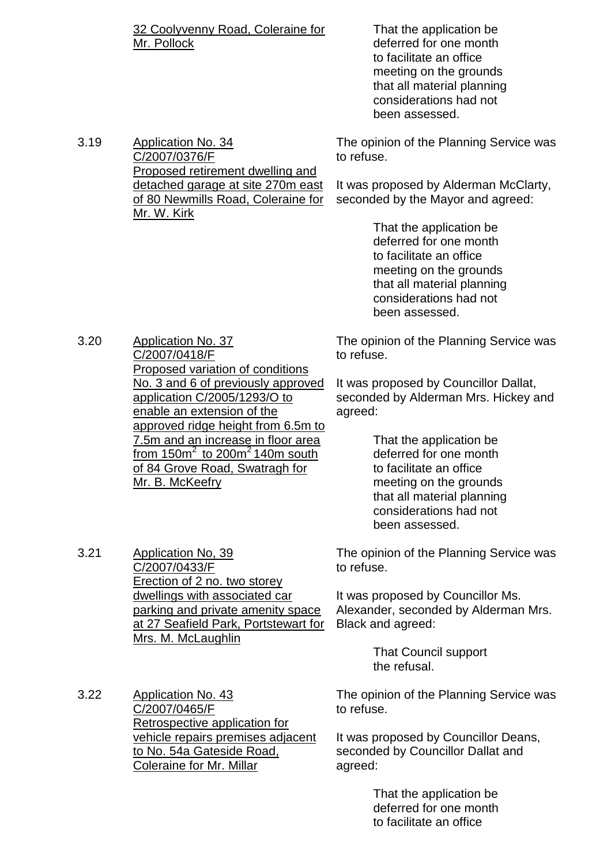32 Coolyvenny Road, Coleraine for Mr. Pollock

Proposed retirement dwelling and detached garage at site 270m east of 80 Newmills Road, Coleraine for

3.19 Application No. 34

C/2007/0376/F

Mr. W. Kirk

3.21 Application No, 39

C/2007/0433/F

Mrs. M. McLaughlin

That the application be deferred for one month to facilitate an office meeting on the grounds that all material planning considerations had not been assessed.

The opinion of the Planning Service was to refuse.

It was proposed by Alderman McClarty, seconded by the Mayor and agreed:

> That the application be deferred for one month to facilitate an office meeting on the grounds that all material planning considerations had not been assessed.

The opinion of the Planning Service was to refuse.

It was proposed by Councillor Dallat, seconded by Alderman Mrs. Hickey and agreed:

> That the application be deferred for one month to facilitate an office meeting on the grounds that all material planning considerations had not been assessed.

The opinion of the Planning Service was to refuse.

It was proposed by Councillor Ms. Alexander, seconded by Alderman Mrs. Black and agreed:

> That Council support the refusal.

3.22 Application No. 43 C/2007/0465/F Retrospective application for vehicle repairs premises adjacent to No. 54a Gateside Road, Coleraine for Mr. Millar

The opinion of the Planning Service was to refuse.

It was proposed by Councillor Deans, seconded by Councillor Dallat and agreed:

> That the application be deferred for one month to facilitate an office

3.20 Application No. 37 C/2007/0418/F Proposed variation of conditions No. 3 and 6 of previously approved application C/2005/1293/O to enable an extension of the approved ridge height from 6.5m to 7.5m and an increase in floor area from  $150m^2$  to  $200m^2$  140m south of 84 Grove Road, Swatragh for Mr. B. McKeefry

> Erection of 2 no. two storey dwellings with associated car parking and private amenity space at 27 Seafield Park, Portstewart for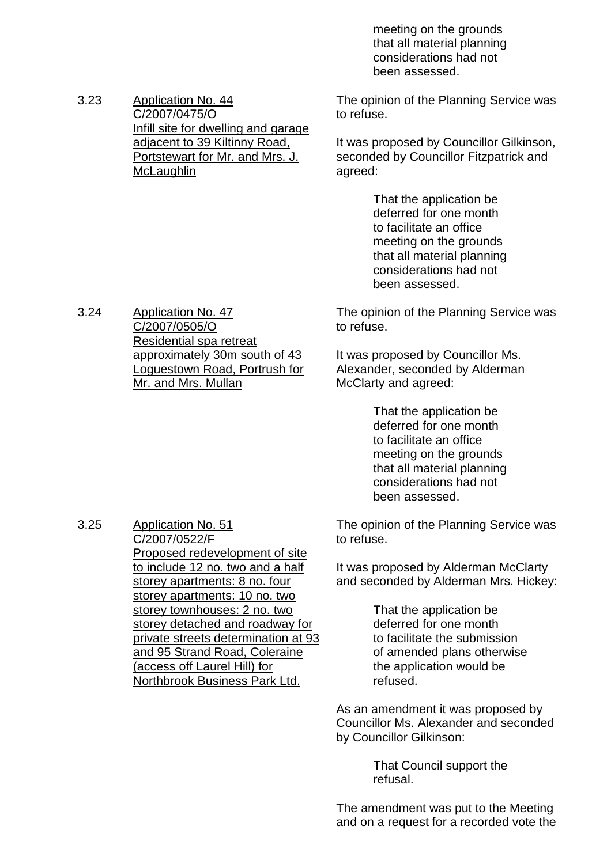meeting on the grounds that all material planning considerations had not been assessed.

3.23 Application No. 44 C/2007/0475/O Infill site for dwelling and garage adjacent to 39 Kiltinny Road, Portstewart for Mr. and Mrs. J. **McLaughlin** 

The opinion of the Planning Service was to refuse.

It was proposed by Councillor Gilkinson, seconded by Councillor Fitzpatrick and agreed:

> That the application be deferred for one month to facilitate an office meeting on the grounds that all material planning considerations had not been assessed.

The opinion of the Planning Service was to refuse.

It was proposed by Councillor Ms. Alexander, seconded by Alderman McClarty and agreed:

> That the application be deferred for one month to facilitate an office meeting on the grounds that all material planning considerations had not been assessed.

The opinion of the Planning Service was to refuse.

It was proposed by Alderman McClarty and seconded by Alderman Mrs. Hickey:

> That the application be deferred for one month to facilitate the submission of amended plans otherwise the application would be refused.

As an amendment it was proposed by Councillor Ms. Alexander and seconded by Councillor Gilkinson:

> That Council support the refusal.

The amendment was put to the Meeting and on a request for a recorded vote the

3.24 Application No. 47 C/2007/0505/O Residential spa retreat approximately 30m south of 43 Loguestown Road, Portrush for Mr. and Mrs. Mullan

3.25 Application No. 51 C/2007/0522/F Proposed redevelopment of site to include 12 no. two and a half storey apartments: 8 no. four storey apartments: 10 no. two storey townhouses: 2 no. two storey detached and roadway for private streets determination at 93 and 95 Strand Road, Coleraine (access off Laurel Hill) for Northbrook Business Park Ltd.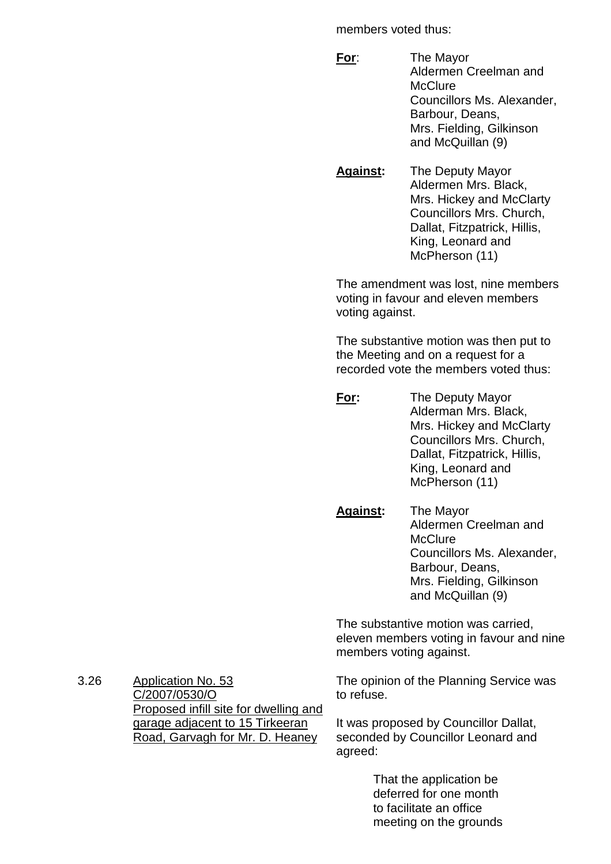members voted thus:

- **For**: The Mayor Aldermen Creelman and **McClure** Councillors Ms. Alexander, Barbour, Deans, Mrs. Fielding, Gilkinson and McQuillan (9)
- **Against:** The Deputy Mayor Aldermen Mrs. Black, Mrs. Hickey and McClarty Councillors Mrs. Church, Dallat, Fitzpatrick, Hillis, King, Leonard and McPherson (11)

The amendment was lost, nine members voting in favour and eleven members voting against.

The substantive motion was then put to the Meeting and on a request for a recorded vote the members voted thus:

- **For:** The Deputy Mayor Alderman Mrs. Black, Mrs. Hickey and McClarty Councillors Mrs. Church, Dallat, Fitzpatrick, Hillis, King, Leonard and McPherson (11)
- **Against:** The Mayor Aldermen Creelman and **McClure** Councillors Ms. Alexander, Barbour, Deans, Mrs. Fielding, Gilkinson and McQuillan (9)

The substantive motion was carried, eleven members voting in favour and nine members voting against.

The opinion of the Planning Service was to refuse.

It was proposed by Councillor Dallat, seconded by Councillor Leonard and agreed:

> That the application be deferred for one month to facilitate an office meeting on the grounds

3.26 Application No. 53 C/2007/0530/O Proposed infill site for dwelling and garage adjacent to 15 Tirkeeran Road, Garvagh for Mr. D. Heaney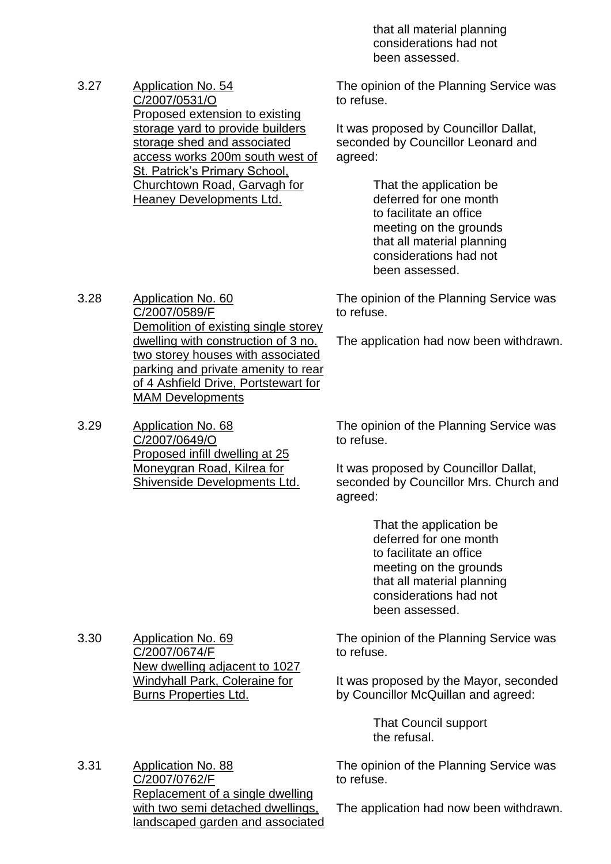that all material planning considerations had not been assessed.

3.27 Application No. 54 C/2007/0531/O Proposed extension to existing storage yard to provide builders storage shed and associated access works 200m south west of St. Patrick's Primary School, Churchtown Road, Garvagh for Heaney Developments Ltd.

The opinion of the Planning Service was to refuse.

It was proposed by Councillor Dallat, seconded by Councillor Leonard and agreed:

> That the application be deferred for one month to facilitate an office meeting on the grounds that all material planning considerations had not been assessed.

The opinion of the Planning Service was to refuse.

The application had now been withdrawn.

3.28 Application No. 60 C/2007/0589/F Demolition of existing single storey dwelling with construction of 3 no. two storey houses with associated parking and private amenity to rear of 4 Ashfield Drive, Portstewart for MAM Developments

3.29 Application No. 68 C/2007/0649/O Proposed infill dwelling at 25 Moneygran Road, Kilrea for Shivenside Developments Ltd.

3.30 Application No. 69

C/2007/0674/F

Burns Properties Ltd.

The opinion of the Planning Service was to refuse.

It was proposed by Councillor Dallat, seconded by Councillor Mrs. Church and agreed:

> That the application be deferred for one month to facilitate an office meeting on the grounds that all material planning considerations had not been assessed.

The opinion of the Planning Service was to refuse.

It was proposed by the Mayor, seconded by Councillor McQuillan and agreed:

> That Council support the refusal.

The opinion of the Planning Service was to refuse.

3.31 Application No. 88 C/2007/0762/F Replacement of a single dwelling with two semi detached dwellings, landscaped garden and associated

New dwelling adjacent to 1027 Windyhall Park, Coleraine for

The application had now been withdrawn.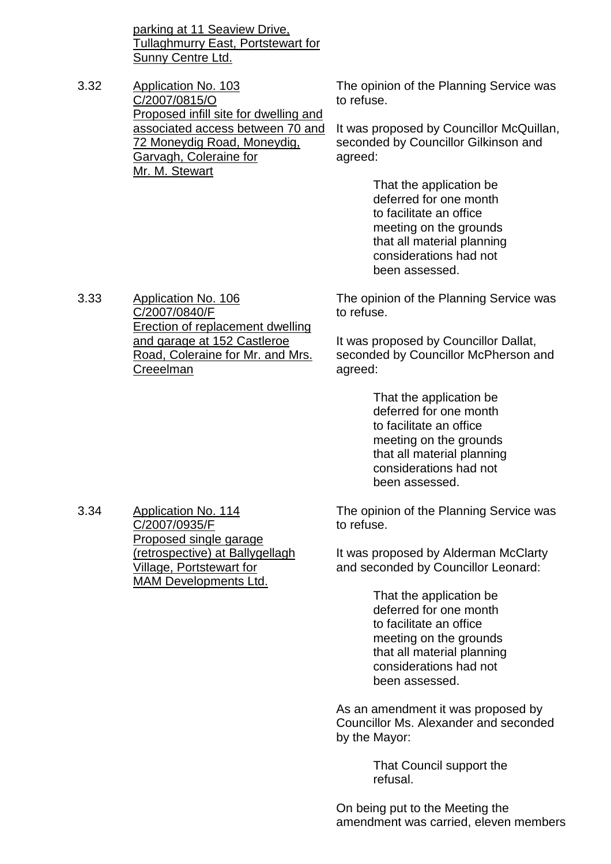parking at 11 Seaview Drive, Tullaghmurry East, Portstewart for Sunny Centre Ltd.

3.32 Application No. 103 C/2007/0815/O Proposed infill site for dwelling and associated access between 70 and 72 Moneydig Road, Moneydig, Garvagh, Coleraine for Mr. M. Stewart

The opinion of the Planning Service was to refuse.

It was proposed by Councillor McQuillan, seconded by Councillor Gilkinson and agreed:

> That the application be deferred for one month to facilitate an office meeting on the grounds that all material planning considerations had not been assessed.

3.33 Application No. 106 C/2007/0840/F Erection of replacement dwelling and garage at 152 Castleroe Road, Coleraine for Mr. and Mrs. **Creeelman** 

The opinion of the Planning Service was to refuse.

It was proposed by Councillor Dallat, seconded by Councillor McPherson and agreed:

> That the application be deferred for one month to facilitate an office meeting on the grounds that all material planning considerations had not been assessed.

The opinion of the Planning Service was to refuse.

It was proposed by Alderman McClarty and seconded by Councillor Leonard:

> That the application be deferred for one month to facilitate an office meeting on the grounds that all material planning considerations had not been assessed.

As an amendment it was proposed by Councillor Ms. Alexander and seconded by the Mayor:

> That Council support the refusal.

On being put to the Meeting the amendment was carried, eleven members

3.34 Application No. 114 C/2007/0935/F Proposed single garage (retrospective) at Ballygellagh Village, Portstewart for MAM Developments Ltd.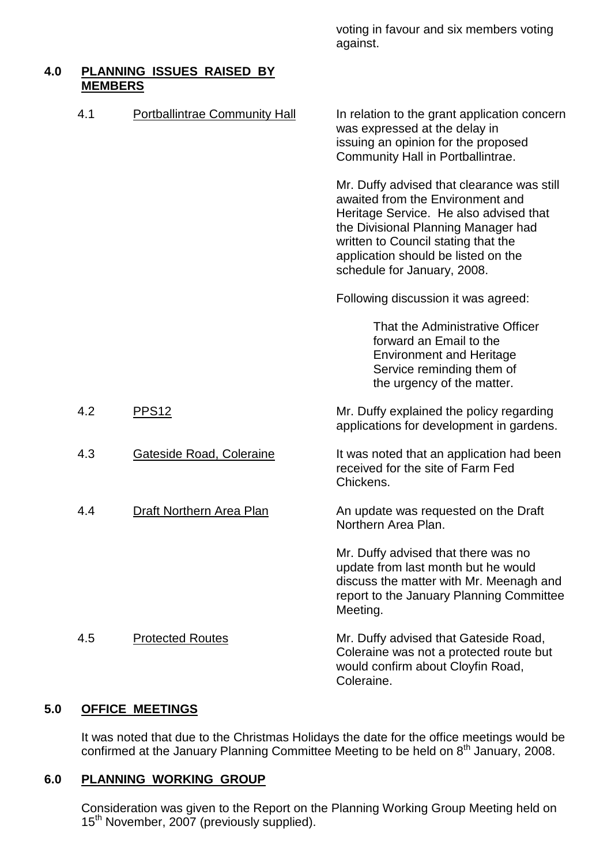voting in favour and six members voting against.

#### **4.0 PLANNING ISSUES RAISED BY MEMBERS**

| 4.1 | <b>Portballintrae Community Hall</b> | In relation to the grant application concern<br>was expressed at the delay in<br>issuing an opinion for the proposed<br>Community Hall in Portballintrae.                                                                                                                    |
|-----|--------------------------------------|------------------------------------------------------------------------------------------------------------------------------------------------------------------------------------------------------------------------------------------------------------------------------|
|     |                                      | Mr. Duffy advised that clearance was still<br>awaited from the Environment and<br>Heritage Service. He also advised that<br>the Divisional Planning Manager had<br>written to Council stating that the<br>application should be listed on the<br>schedule for January, 2008. |
|     |                                      | Following discussion it was agreed:                                                                                                                                                                                                                                          |
|     |                                      | That the Administrative Officer<br>forward an Email to the<br><b>Environment and Heritage</b><br>Service reminding them of<br>the urgency of the matter.                                                                                                                     |
| 4.2 | PPS <sub>12</sub>                    | Mr. Duffy explained the policy regarding<br>applications for development in gardens.                                                                                                                                                                                         |
| 4.3 | Gateside Road, Coleraine             | It was noted that an application had been<br>received for the site of Farm Fed<br>Chickens.                                                                                                                                                                                  |
| 4.4 | <b>Draft Northern Area Plan</b>      | An update was requested on the Draft<br>Northern Area Plan.                                                                                                                                                                                                                  |
|     |                                      | Mr. Duffy advised that there was no<br>update from last month but he would<br>discuss the matter with Mr. Meenagh and<br>report to the January Planning Committee<br>Meeting.                                                                                                |
| 4.5 | <b>Protected Routes</b>              | Mr. Duffy advised that Gateside Road,<br>Coleraine was not a protected route but<br>would confirm about Cloyfin Road,<br>Coleraine.                                                                                                                                          |

## **5.0 OFFICE MEETINGS**

It was noted that due to the Christmas Holidays the date for the office meetings would be confirmed at the January Planning Committee Meeting to be held on  $8<sup>th</sup>$  January, 2008.

## **6.0 PLANNING WORKING GROUP**

Consideration was given to the Report on the Planning Working Group Meeting held on 15<sup>th</sup> November, 2007 (previously supplied).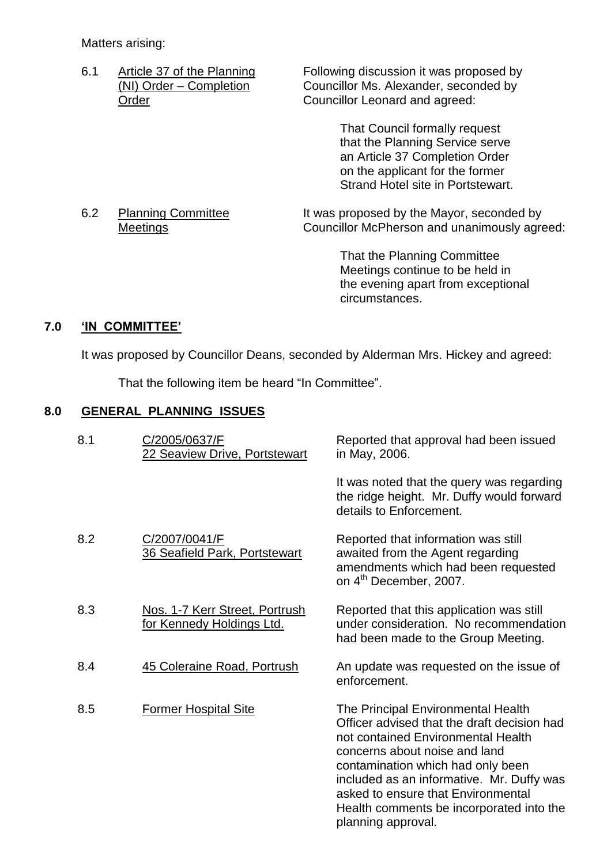Matters arising:

6.1 Article 37 of the Planning Following discussion it was proposed by<br>(NI) Order – Completion Councillor Ms. Alexander, seconded by (NI) Order – Completion Councillor Ms. Alexander, seconded by<br>Order Councillor Leonard and agreed: Councillor Leonard and agreed:

> That Council formally request that the Planning Service serve an Article 37 Completion Order on the applicant for the former Strand Hotel site in Portstewart.

6.2 Planning Committee It was proposed by the Mayor, seconded by Meetings Councillor McPherson and unanimously agreed:

> That the Planning Committee Meetings continue to be held in the evening apart from exceptional circumstances.

## **7.0 'IN COMMITTEE'**

It was proposed by Councillor Deans, seconded by Alderman Mrs. Hickey and agreed:

That the following item be heard "In Committee".

## **8.0 GENERAL PLANNING ISSUES**

| 8.1 | C/2005/0637/F<br>22 Seaview Drive, Portstewart              | Reported that approval had been issued<br>in May, 2006.                                                                                                                                                                                                                                                                                            |
|-----|-------------------------------------------------------------|----------------------------------------------------------------------------------------------------------------------------------------------------------------------------------------------------------------------------------------------------------------------------------------------------------------------------------------------------|
|     |                                                             | It was noted that the query was regarding<br>the ridge height. Mr. Duffy would forward<br>details to Enforcement.                                                                                                                                                                                                                                  |
| 8.2 | C/2007/0041/F<br><b>36 Seafield Park, Portstewart</b>       | Reported that information was still<br>awaited from the Agent regarding<br>amendments which had been requested<br>on 4 <sup>th</sup> December, 2007.                                                                                                                                                                                               |
| 8.3 | Nos. 1-7 Kerr Street, Portrush<br>for Kennedy Holdings Ltd. | Reported that this application was still<br>under consideration. No recommendation<br>had been made to the Group Meeting.                                                                                                                                                                                                                          |
| 8.4 | 45 Coleraine Road, Portrush                                 | An update was requested on the issue of<br>enforcement.                                                                                                                                                                                                                                                                                            |
| 8.5 | <b>Former Hospital Site</b>                                 | The Principal Environmental Health<br>Officer advised that the draft decision had<br>not contained Environmental Health<br>concerns about noise and land<br>contamination which had only been<br>included as an informative. Mr. Duffy was<br>asked to ensure that Environmental<br>Health comments be incorporated into the<br>planning approval. |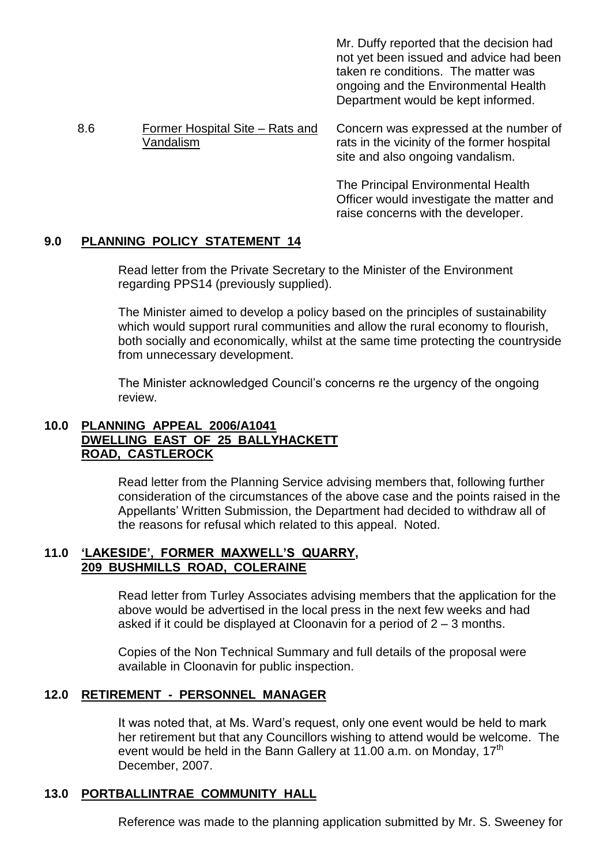Mr. Duffy reported that the decision had not yet been issued and advice had been taken re conditions. The matter was ongoing and the Environmental Health Department would be kept informed.

8.6 Former Hospital Site –Rats and Vandalism Concern was expressed at the number of rats in the vicinity of the former hospital site and also ongoing vandalism.

> The Principal Environmental Health Officer would investigate the matter and raise concerns with the developer.

## **9.0 PLANNING POLICY STATEMENT 14**

Read letter from the Private Secretary to the Minister of the Environment regarding PPS14 (previously supplied).

The Minister aimed to develop a policy based on the principles of sustainability which would support rural communities and allow the rural economy to flourish, both socially and economically, whilst at the same time protecting the countryside from unnecessary development.

The Minister acknowledged Council's concerns re the urgency of the ongoing review.

## **10.0 PLANNING APPEAL 2006/A1041 DWELLING EAST OF 25 BALLYHACKETT ROAD, CASTLEROCK**

Read letter from the Planning Service advising members that, following further consideration of the circumstances of the above case and the points raised in the Appellants'Written Submission, the Department had decided to withdraw all of the reasons for refusal which related to this appeal. Noted.

#### **11.0 'LAKESIDE',FORMER MAXWELL'S QUARRY, 209 BUSHMILLS ROAD, COLERAINE**

Read letter from Turley Associates advising members that the application for the above would be advertised in the local press in the next few weeks and had asked if it could be displayed at Cloonavin for a period of  $2 - 3$  months.

Copies of the Non Technical Summary and full details of the proposal were available in Cloonavin for public inspection.

#### **12.0 RETIREMENT - PERSONNEL MANAGER**

It was noted that, at Ms. Ward's request, only one event would be held to mark her retirement but that any Councillors wishing to attend would be welcome. The event would be held in the Bann Gallery at 11.00 a.m. on Monday, 17<sup>th</sup> December, 2007.

#### **13.0 PORTBALLINTRAE COMMUNITY HALL**

Reference was made to the planning application submitted by Mr. S. Sweeney for